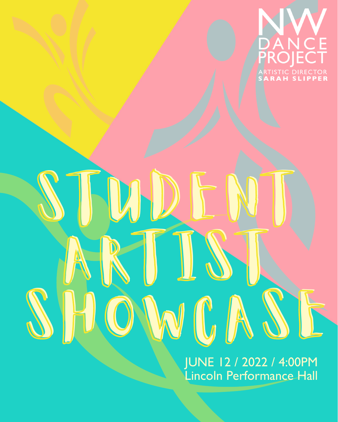

JUNE 12 / 2022 / 4:00PM Lincoln Performance Hall

 $\mathcal{V}_A$ 

ARTIST.

SHOWCASE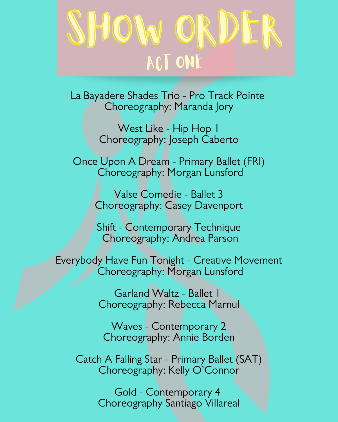## SHOW ORDI ACT ONE

La Bayadere Shades Trio - Pro Track Pointe Choreography: Maranda Jory

> West Like - Hip Hop 1 Choreography: Joseph Caberto

Once Upon A Dream - Primary Ballet (FRI) Choreography: Morgan Lunsford

> Valse Comedie - Ballet 3 Choreography: Casey Davenport

Shift - Contemporary Technique Choreography: Andrea Parson

Everybody Have Fun Tonight - Creative Movement Choreography: Morgan Lunsford

> Garland Waltz - Ballet 1 Choreography: Rebecca Marnul

Waves - Contemporary 2 Choreography: Annie Borden

Catch A Falling Star - Primary Ballet (SAT) Choreography: Kelly O'Connor

> Gold - Contemporary 4 Choreography Santiago Villareal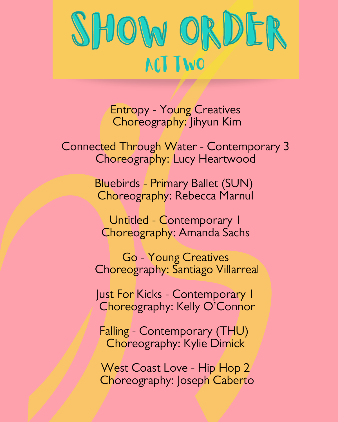

Entropy - Young Creatives Choreography: Jihyun Kim

Connected Through Water - Contemporary 3 Choreography: Lucy Heartwood

> Bluebirds - Primary Ballet (SUN) Choreography: Rebecca Marnul

Untitled - Contemporary 1 Choreography: Amanda Sachs

Go - Young Creatives Choreography: Santiago Villarreal

Just For Kicks - Contemporary 1 Choreography: Kelly O'Connor

Falling - Contemporary (THU) Choreography: Kylie Dimick

West Coast Love - Hip Hop 2 Choreography: Joseph Caberto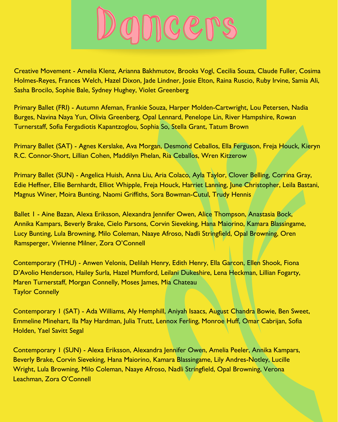

Creative Movement - Amelia Klenz, Arianna Bakhmutov, Brooks Vogl, Cecilia Souza, Claude Fuller, Cosima Holmes-Reyes, Frances Welch, Hazel Dixon, Jade Lindner, Josie Elton, Raina Ruscio, Ruby Irvine, Samia Ali, Sasha Brocilo, Sophie Bale, Sydney Hughey, Violet Greenberg

Primary Ballet (FRI) - Autumn Afeman, Frankie Souza, Harper Molden-Cartwright, Lou Petersen, Nadia Burges, Navina Naya Yun, Olivia Greenberg, Opal Lennard, Penelope Lin, River Hampshire, Rowan Turnerstaff, Sofia Fergadiotis Kapantzoglou, Sophia So, Stella Grant, Tatum Brown

Primary Ballet (SAT) - Agnes Kerslake, Ava Morgan, Desmond Ceballos, Ella Ferguson, Freja Houck, Kieryn R.C. Connor-Short, Lillian Cohen, Maddilyn Phelan, Ria Ceballos, Wren Kitzerow

Primary Ballet (SUN) - Angelica Huish, Anna Liu, Aria Colaco, Ayla Taylor, Clover Belling, Corrina Gray, Edie Heffner, Ellie Bernhardt, Elliot Whipple, Freja Houck, Harriet Lanning, June Christopher, Leila Bastani, Magnus Winer, Moira Bunting, Naomi Griffiths, Sora Bowman-Cutul, Trudy Hennis

Ballet 1 - Aine Bazan, Alexa Eriksson, Alexandra Jennifer Owen, Alice Thompson, Anastasia Bock, Annika Kampars, Beverly Brake, Cielo Parsons, Corvin Sieveking, Hana Maiorino, Kamara Blassingame, Lucy Bunting, Lula Browning, Milo Coleman, Naaye Afroso, Nadli Stringfield, Opal Browning, Oren Ramsperger, Vivienne Milner, Zora O'Connell

Contemporary (THU) - Anwen Velonis, Delilah Henry, Edith Henry, Ella Garcon, Ellen Shook, Fiona D'Avolio Henderson, Hailey Surla, Hazel Mumford, Leilani Dukeshire, Lena Heckman, Lillian Fogarty, Maren Turnerstaff, Morgan Connelly, Moses James, Mia Chateau Taylor Connelly

Contemporary 1 (SAT) - Ada Williams, Aly Hemphill, Aniyah Isaacs, August Chandra Bowie, Ben Sweet, Emmeline Minehart, Ila May Hardman, Julia Trutt, Lennox Ferling, Monroe Huff, Omar Cabrijan, Sofia Holden, Yael Savitt Segal

Contemporary 1 (SUN) - Alexa Eriksson, Alexandra Jennifer Owen, Amelia Peeler, Annika Kampars, Beverly Brake, Corvin Sieveking, Hana Maiorino, Kamara Blassingame, Lily Andres-Notley, Lucille Wright, Lula Browning, Milo Coleman, Naaye Afroso, Nadli Stringfield, Opal Browning, Verona Leachman, Zora O'Connell